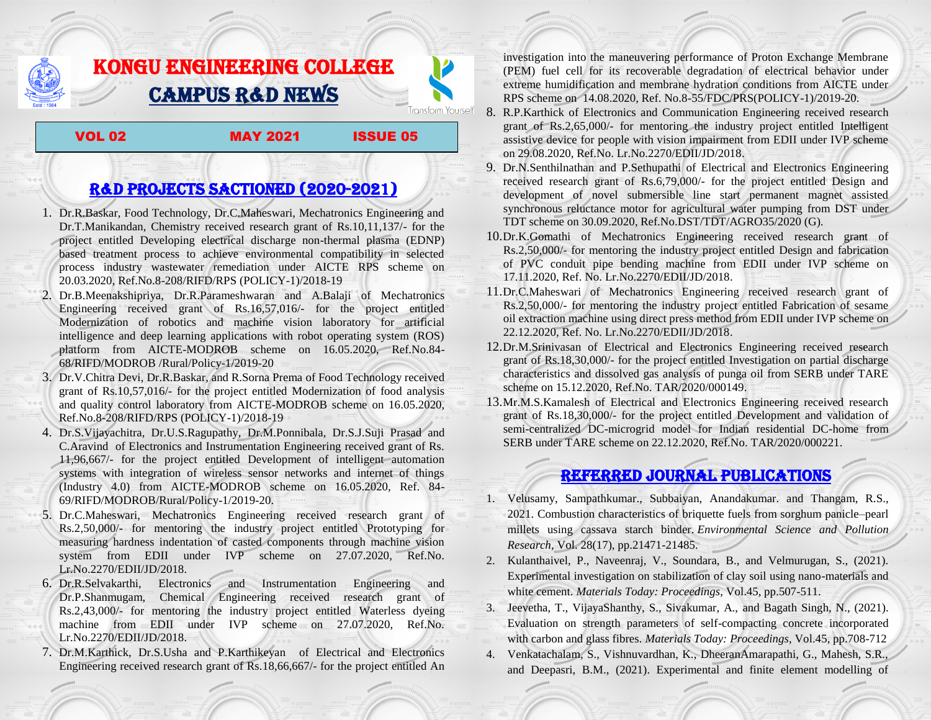## KONGU ENGINEERING COLLEGE CAMPUS R&D NEWS

VOL 02 MAY 2021 ISSUE 05

**Transform Yourself** 

## R&D PROJECTS SACTIONED (2020-2021)

- 1. Dr.R.Baskar, Food Technology, Dr.C.Maheswari, Mechatronics Engineering and Dr.T.Manikandan, Chemistry received research grant of Rs.10,11,137/- for the project entitled Developing electrical discharge non-thermal plasma (EDNP) based treatment process to achieve environmental compatibility in selected process industry wastewater remediation under AICTE RPS scheme on 20.03.2020, Ref.No.8-208/RIFD/RPS (POLICY-1)/2018-19
- 2. Dr.B.Meenakshipriya, Dr.R.Parameshwaran and A.Balaji of Mechatronics Engineering received grant of Rs.16,57,016/- for the project entitled Modernization [of robotics and machine vision laboratory for artificial](http://rnd.kongu.edu/ractivities/mts/data/)  [intelligence and deep learning applications with robot operating system \(ROS\)](http://rnd.kongu.edu/ractivities/mts/data/)  [platform](http://rnd.kongu.edu/ractivities/mts/data/) from AICTE-MODROB scheme on 16.05.2020, Ref.No.84- 68/RIFD/MODROB /Rural/Policy-1/2019-20
- 3. Dr.V.Chitra Devi, Dr.R.Baskar, and R.Sorna Prema of Food Technology received grant of Rs.10,57,016/- for the project entitled Modernization of food analysis and quality control laboratory from AICTE-MODROB scheme on 16.05.2020, Ref.No.8-208/RIFD/RPS (POLICY-1)/2018-19
- 4. Dr.S.Vijayachitra, Dr.U.S.Ragupathy, Dr.M.Ponnibala, Dr.S.J.Suji Prasad and C.Aravind of Electronics and Instrumentation Engineering received grant of Rs. 11,96,667/- for the project entitled Development of intelligent automation systems with integration of wireless sensor networks and internet of things (Industry 4.0) from AICTE-MODROB scheme on 16.05.2020, Ref. 84- 69/RIFD/MODROB/Rural/Policy-1/2019-20.
- 5. Dr.C.Maheswari, Mechatronics Engineering received research grant of Rs.2,50,000/- for mentoring the industry project entitled [Prototyping for](http://rnd.kongu.edu/ractivities/mts/data/)  [measuring hardness indentation of casted components through machine vision](http://rnd.kongu.edu/ractivities/mts/data/)  [system](http://rnd.kongu.edu/ractivities/mts/data/) from EDII under IVP scheme on 27.07.2020, Ref.No. Lr.No.2270/EDII/JD/2018.
- 6. Dr.R.Selvakarthi, Electronics and Instrumentation Engineering and Dr.P.Shanmugam, Chemical Engineering received research grant of Rs.2,43,000/- for mentoring the industry project entitled Waterless dyeing machine from EDII under IVP scheme on 27.07.2020, Ref.No. Lr.No.2270/EDII/JD/2018.
- 7. Dr.M.Karthick, Dr.S.Usha and P.Karthikeyan of Electrical and Electronics Engineering received research grant of Rs.18,66,667/- for the project entitled An

investigation into the maneuvering performance of Proton Exchange Membrane (PEM) fuel cell for its recoverable degradation of electrical behavior under extreme humidification and membrane hydration conditions from AICTE under RPS scheme on 14.08.2020, Ref. No.8-55/FDC/PRS(POLICY-1)/2019-20.

- 8. R.P.Karthick of Electronics and Communication Engineering received research grant of Rs.2,65,000/- for mentoring the industry project entitled Intelligent assistive device for people with vision impairment from EDII under IVP scheme on 29.08.2020, Ref.No. Lr.No.2270/EDII/JD/2018.
- 9. Dr.N.Senthilnathan and P.Sethupathi of Electrical and Electronics Engineering received research grant of Rs.6,79,000/- for the project entitled Design and development of novel submersible line start permanent magnet assisted synchronous reluctance motor for agricultural water pumping from DST under TDT scheme on 30.09.2020, Ref.No.DST/TDT/AGRO35/2020 (G).
- 10.Dr.K.Gomathi of Mechatronics Engineering received research grant of Rs.2,50,000/- for mentoring the industry project entitled Design and fabrication of PVC conduit pipe bending machine from EDII under IVP scheme on 17.11.2020, Ref. No. Lr.No.2270/EDII/JD/2018.
- 11.Dr.C.Maheswari of Mechatronics Engineering received research grant of Rs.2,50,000/- for mentoring the industry project entitled Fabrication of sesame oil extraction machine using direct press method from EDII under IVP scheme on 22.12.2020, Ref. No. Lr.No.2270/EDII/JD/2018.
- 12.Dr.M.Srinivasan of Electrical and Electronics Engineering received research grant of Rs.18,30,000/- for the project entitled Investigation on partial discharge characteristics and dissolved gas analysis of punga oil from SERB under TARE scheme on 15.12.2020, Ref.No. TAR/2020/000149.
- 13.Mr.M.S.Kamalesh of Electrical and Electronics Engineering received research grant of Rs.18,30,000/- for the project entitled Development and validation of semi-centralized DC-microgrid model for Indian residential DC-home from SERB under TARE scheme on 22.12.2020, Ref.No. TAR/2020/000221.

## Referred JOURNAL publications

- 1. Velusamy, Sampathkumar., Subbaiyan, Anandakumar. and Thangam, R.S., 2021. Combustion characteristics of briquette fuels from sorghum panicle–pearl millets using cassava starch binder. *Environmental Science and Pollution Research*, Vol. 28(17), pp.21471-21485.
- 2. Kulanthaivel, P., Naveenraj, V., Soundara, B., and Velmurugan, S., (2021). Experimental investigation on stabilization of clay soil using nano-materials and white cement. *Materials Today: Proceedings*, Vol.45, pp.507-511.
- 3. Jeevetha, T., VijayaShanthy, S., Sivakumar, A., and Bagath Singh, N., (2021). Evaluation on strength parameters of self-compacting concrete incorporated with carbon and glass fibres. *Materials Today: Proceedings*, Vol.45, pp.708-712
- 4. Venkatachalam, S., Vishnuvardhan, K., DheeranAmarapathi, G., Mahesh, S.R., and Deepasri, B.M., (2021). Experimental and finite element modelling of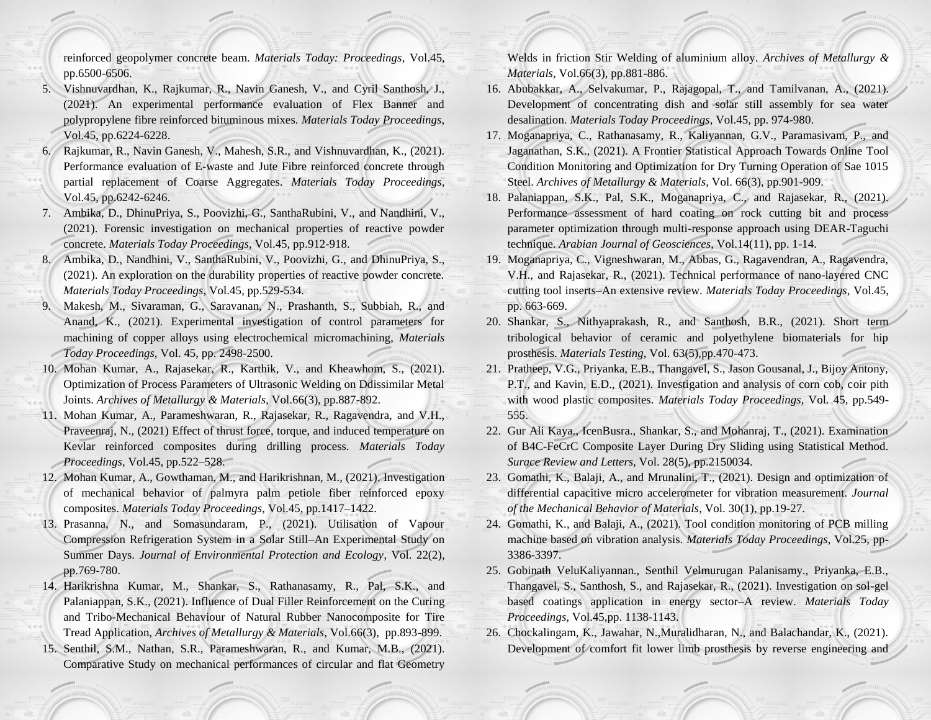reinforced geopolymer concrete beam. *Materials Today: Proceedings*, Vol.45, pp.6500-6506.

- 5. Vishnuvardhan, K., Rajkumar, R., Navin Ganesh, V., and Cyril Santhosh, J., (2021). An experimental performance evaluation of Flex Banner and polypropylene fibre reinforced bituminous mixes. *Materials Today Proceedings*, Vol.45, pp.6224-6228.
- 6. Rajkumar, R., Navin Ganesh, V., Mahesh, S.R., and Vishnuvardhan, K., (2021). Performance evaluation of E-waste and Jute Fibre reinforced concrete through partial replacement of Coarse Aggregates. *Materials Today Proceedings*, Vol.45, pp.6242-6246.
- 7. Ambika, D., DhinuPriya, S., Poovizhi, G., SanthaRubini, V., and Nandhini, V., (2021). Forensic investigation on mechanical properties of reactive powder concrete. *Materials Today Proceedings*, Vol.45, pp.912-918.
- 8. Ambika, D., Nandhini, V., SanthaRubini, V., Poovizhi, G., and DhinuPriya, S., (2021). An exploration on the durability properties of reactive powder concrete. *Materials Today Proceedings*, Vol.45, pp.529-534.
- 9. Makesh, M., Sivaraman, G., Saravanan, N., Prashanth, S., Subbiah, R., and Anand, K., (2021). Experimental investigation of control parameters for machining of copper alloys using electrochemical micromachining, *Materials Today Proceedings,* Vol. 45, pp. 2498-2500.
- 10. Mohan Kumar, A., Rajasekar, R., Karthik, V., and Kheawhom, S., (2021). Optimization of Process Parameters of Ultrasonic Welding on Ddissimilar Metal Joints. *Archives of Metallurgy & Materials*, Vol.66(3), pp.887-892.
- 11. Mohan Kumar, A., Parameshwaran, R., Rajasekar, R., Ragavendra, and V.H., Praveenraj, N., (2021) Effect of thrust force, torque, and induced temperature on Kevlar reinforced composites during drilling process. *Materials Today Proceedings*, Vol.45, pp.522–528.
- 12. Mohan Kumar, A., Gowthaman, M., and Harikrishnan, M., (2021). Investigation of mechanical behavior of palmyra palm petiole fiber reinforced epoxy composites. *Materials Today Proceedings*, Vol.45, pp.1417–1422.
- 13. Prasanna, N., and Somasundaram, P., (2021). Utilisation of Vapour Compression Refrigeration System in a Solar Still–An Experimental Study on Summer Days. *Journal of Environmental Protection and Ecology*, Vol. 22(2), pp.769-780.
- 14. Harikrishna Kumar, M., Shankar, S., Rathanasamy, R., Pal, S.K., and Palaniappan, S.K., (2021). Influence of Dual Filler Reinforcement on the Curing and Tribo-Mechanical Behaviour of Natural Rubber Nanocomposite for Tire Tread Application, *Archives of Metallurgy & Materials*, Vol.66(3), pp.893-899.
- 15. Senthil, S.M., Nathan, S.R., Parameshwaran, R., and Kumar, M.B., (2021). Comparative Study on mechanical performances of circular and flat Geometry

Welds in friction Stir Welding of aluminium alloy. *Archives of Metallurgy & Materials*, Vol.66(3), pp.881-886.

- 16. Abubakkar, A., Selvakumar, P., Rajagopal, T., and Tamilvanan, A., (2021). Development of concentrating dish and solar still assembly for sea water desalination. *Materials Today Proceedings*, Vol.45, pp. 974-980.
- 17. Moganapriya, C., Rathanasamy, R., Kaliyannan, G.V., Paramasivam, P., and Jaganathan, S.K., (2021). A Frontier Statistical Approach Towards Online Tool Condition Monitoring and Optimization for Dry Turning Operation of Sae 1015 Steel. *Archives of Metallurgy & Materials*, Vol. 66(3), pp.901-909.
- 18. Palaniappan, S.K., Pal, S.K., Moganapriya, C., and Rajasekar, R., (2021). Performance assessment of hard coating on rock cutting bit and process parameter optimization through multi-response approach using DEAR-Taguchi technique. *Arabian Journal of Geosciences*, Vol.14(11), pp. 1-14.
- 19. Moganapriya, C., Vigneshwaran, M., Abbas, G., Ragavendran, A., Ragavendra, V.H., and Rajasekar, R., (2021). Technical performance of nano-layered CNC cutting tool inserts–An extensive review. *Materials Today Proceedings*, Vol.45, pp. 663-669.
- 20. Shankar, S., Nithyaprakash, R., and Santhosh, B.R., (2021). Short term tribological behavior of ceramic and polyethylene biomaterials for hip prosthesis. *Materials Testing*, Vol. 63(5),pp.470-473.
- 21. Pratheep, V.G., Priyanka, E.B., Thangavel, S., Jason Gousanal, J., Bijoy Antony, P.T., and Kavin, E.D., (2021). Investigation and analysis of corn cob, coir pith with wood plastic composites. *Materials Today Proceedings*, Vol. 45, pp.549- 555.
- 22. Gur Ali Kaya., IcenBusra., Shankar, S., and Mohanraj, T., (2021). Examination of B4C-FeCrC Composite Layer During Dry Sliding using Statistical Method. *Surace Review and Letters*, Vol. 28(5), pp.2150034.
- 23. Gomathi, K., Balaji, A., and Mrunalini, T., (2021). Design and optimization of differential capacitive micro accelerometer for vibration measurement. *Journal of the Mechanical Behavior of Materials*, Vol. 30(1), pp.19-27.
- 24. Gomathi, K., and Balaji, A., (2021). Tool condition monitoring of PCB milling machine based on vibration analysis. *Materials Today Proceedings*, Vol.25, pp-3386-3397.
- 25. Gobinath VeluKaliyannan., Senthil Velmurugan Palanisamy., Priyanka, E.B., Thangavel, S., Santhosh, S., and Rajasekar, R., (2021). Investigation on sol-gel based coatings application in energy sector–A review. *Materials Today Proceedings*, Vol.45,pp. 1138-1143.
- 26. Chockalingam, K., Jawahar, N.,Muralidharan, N., and Balachandar, K., (2021). Development of comfort fit lower limb prosthesis by reverse engineering and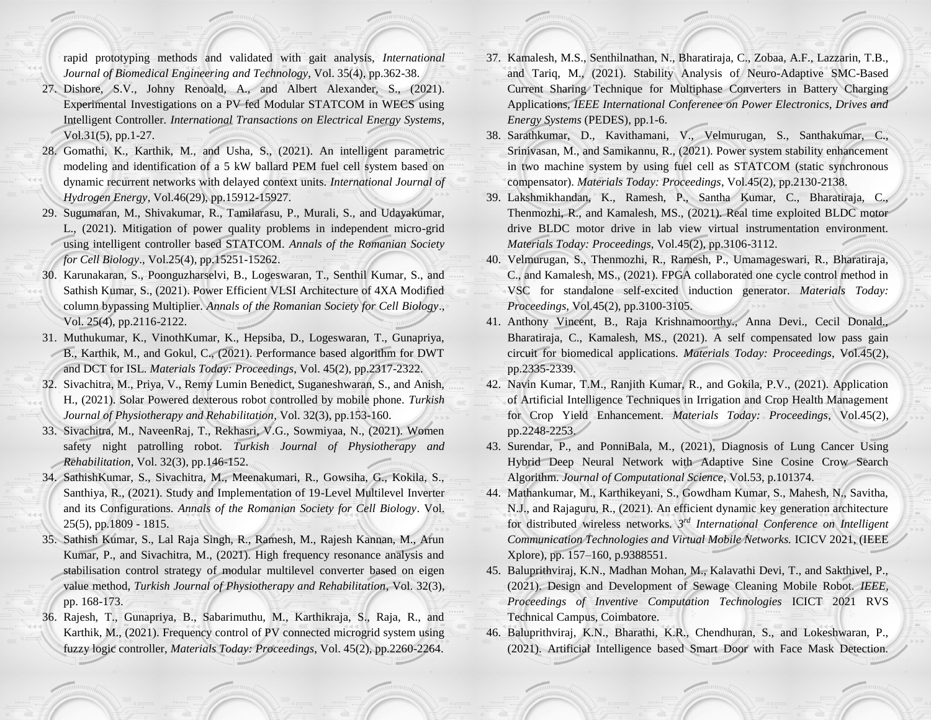rapid prototyping methods and validated with gait analysis, *International Journal of Biomedical Engineering and Technology*, Vol. 35(4), pp.362-38.

- 27. Dishore, S.V., Johny Renoald, A., and Albert Alexander, S., (2021). Experimental Investigations on a PV fed Modular STATCOM in WECS using Intelligent Controller. *International Transactions on Electrical Energy Systems*, Vol.31(5), pp.1-27.
- 28. Gomathi, K., Karthik, M., and Usha, S., (2021). An intelligent parametric modeling and identification of a 5 kW ballard PEM fuel cell system based on dynamic recurrent networks with delayed context units. *International Journal of Hydrogen Energy*, Vol.46(29), pp.15912-15927.
- 29. Sugumaran, M., Shivakumar, R., Tamilarasu, P., Murali, S., and Udayakumar, L., (2021). Mitigation of power quality problems in independent micro-grid using intelligent controller based STATCOM. *Annals of the Romanian Society for Cell Biology*., Vol.25(4), pp.15251-15262.
- 30. Karunakaran, S., Poonguzharselvi, B., Logeswaran, T., Senthil Kumar, S., and Sathish Kumar, S., (2021). Power Efficient VLSI Architecture of 4XA Modified column bypassing Multiplier. *Annals of the Romanian Society for Cell Biology*., Vol. 25(4), pp.2116-2122.
- 31. Muthukumar, K., VinothKumar, K., Hepsiba, D., Logeswaran, T., Gunapriya, B., Karthik, M., and Gokul, C., (2021). Performance based algorithm for DWT and DCT for ISL. *Materials Today: Proceedings*, Vol. 45(2), pp.2317-2322.
- 32. Sivachitra, M., Priya, V., Remy Lumin Benedict, Suganeshwaran, S., and Anish, H., (2021). Solar Powered dexterous robot controlled by mobile phone. *Turkish Journal of Physiotherapy and Rehabilitation*, Vol. 32(3), pp.153-160.
- 33. Sivachitra, M., NaveenRaj, T., Rekhasri, V.G., Sowmiyaa, N., (2021). Women safety night patrolling robot. *Turkish Journal of Physiotherapy and Rehabilitation*, Vol. 32(3), pp.146-152.
- 34. SathishKumar, S., Sivachitra, M., Meenakumari, R., Gowsiha, G., Kokila, S., Santhiya, R., (2021). Study and Implementation of 19-Level Multilevel Inverter and its Configurations. *Annals of the Romanian Society for Cell Biology*. Vol. 25(5), pp.1809 - 1815.
- 35. Sathish Kumar, S., Lal Raja Singh, R., Ramesh, M., Rajesh Kannan, M., Arun Kumar, P., and Sivachitra, M., (2021). High frequency resonance analysis and stabilisation control strategy of modular multilevel converter based on eigen value method, *Turkish Journal of Physiotherapy and Rehabilitation*, Vol. 32(3), pp. 168-173.
- 36. Rajesh, T., Gunapriya, B., Sabarimuthu, M., Karthikraja, S., Raja, R., and Karthik, M., (2021). Frequency control of PV connected microgrid system using fuzzy logic controller, *Materials Today: Proceedings*, Vol. 45(2), pp.2260-2264.
- 37. Kamalesh, M.S., Senthilnathan, N., Bharatiraja, C., Zobaa, A.F., Lazzarin, T.B., and Tariq, M., (2021). Stability Analysis of Neuro-Adaptive SMC-Based Current Sharing Technique for Multiphase Converters in Battery Charging Applications, *IEEE International Conference on Power Electronics, Drives and Energy Systems* (PEDES), pp.1-6.
- 38. Sarathkumar, D., Kavithamani, V., Velmurugan, S., Santhakumar, C., Srinivasan, M., and Samikannu, R., (2021). Power system stability enhancement in two machine system by using fuel cell as STATCOM (static synchronous compensator). *Materials Today: Proceedings*, Vol.45(2), pp.2130-2138.
- 39. Lakshmikhandan, K., Ramesh, P., Santha Kumar, C., Bharatiraja, C., Thenmozhi, R., and Kamalesh, MS., (2021). Real time exploited BLDC motor drive BLDC motor drive in lab view virtual instrumentation environment. *Materials Today: Proceedings*, Vol.45(2), pp.3106-3112.
- 40. Velmurugan, S., Thenmozhi, R., Ramesh, P., Umamageswari, R., Bharatiraja, C., and Kamalesh, MS., (2021). FPGA collaborated one cycle control method in VSC for standalone self-excited induction generator. *Materials Today: Proceedings*, Vol.45(2), pp.3100-3105.
- 41. Anthony Vincent, B., Raja Krishnamoorthy., Anna Devi., Cecil Donald., Bharatiraja, C., Kamalesh, MS., (2021). A self compensated low pass gain circuit for biomedical applications. *Materials Today: Proceedings*, Vol.45(2), pp.2335-2339.
- 42. Navin Kumar, T.M., Ranjith Kumar, R., and Gokila, P.V., (2021). Application of Artificial Intelligence Techniques in Irrigation and Crop Health Management for Crop Yield Enhancement. *Materials Today: Proceedings*, Vol.45(2), pp.2248-2253.
- 43. Surendar, P., and PonniBala, M., (2021), Diagnosis of Lung Cancer Using Hybrid Deep Neural Network with Adaptive Sine Cosine Crow Search Algorithm. *Journal of Computational Science*, Vol.53, p.101374.
- 44. Mathankumar, M., Karthikeyani, S., Gowdham Kumar, S., Mahesh, N., Savitha, N.J., and Rajaguru, R., (2021). An efficient dynamic key generation architecture for distributed wireless networks*. 3rd International Conference on Intelligent Communication Technologies and Virtual Mobile Networks.* ICICV 2021, (IEEE Xplore), pp. 157–160, p.9388551.
- 45. Baluprithviraj, K.N., Madhan Mohan, M., Kalavathi Devi, T., and Sakthivel, P., (2021). Design and Development of Sewage Cleaning Mobile Robot. *IEEE, Proceedings of Inventive Computation Technologies* ICICT 2021 RVS Technical Campus, Coimbatore.
- 46. Baluprithviraj, K.N., Bharathi, K.R., Chendhuran, S., and Lokeshwaran, P., (2021). Artificial Intelligence based Smart Door with Face Mask Detection.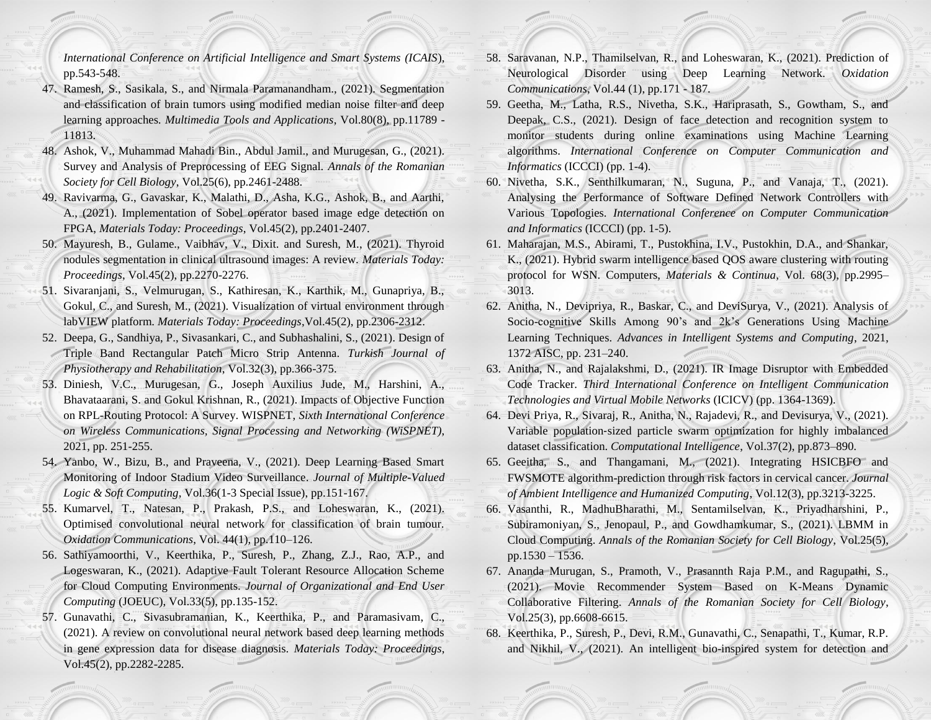*International Conference on Artificial Intelligence and Smart Systems (ICAIS*), pp.543-548.

- 47. Ramesh, S., Sasikala, S., and Nirmala Paramanandham., (2021). Segmentation and classification of brain tumors using modified median noise filter and deep learning approaches*. Multimedia Tools and Applications*, Vol.80(8), pp.11789 - 11813.
- 48. Ashok, V., Muhammad Mahadi Bin., Abdul Jamil., and Murugesan, G., (2021). Survey and Analysis of Preprocessing of EEG Signal. *Annals of the Romanian Society for Cell Biology*, Vol.25(6), pp.2461-2488.
- 49. Ravivarma, G., Gavaskar, K., Malathi, D., Asha, K.G., Ashok, B., and Aarthi, A., (2021). Implementation of Sobel operator based image edge detection on FPGA, *Materials Today: Proceedings*, Vol.45(2), pp.2401-2407.
- 50. Mayuresh, B., Gulame., Vaibhav, V., Dixit. and Suresh, M., (2021). Thyroid nodules segmentation in clinical ultrasound images: A review. *Materials Today: Proceedings*, Vol.45(2), pp.2270-2276.
- 51. Sivaranjani, S., Velmurugan, S., Kathiresan, K., Karthik, M., Gunapriya, B., Gokul, C., and Suresh, M., (2021). Visualization of virtual environment through labVIEW platform. *Materials Today: Proceedings*,Vol.45(2), pp.2306-2312.
- 52. Deepa, G., Sandhiya, P., Sivasankari, C., and Subhashalini, S., (2021). Design of Triple Band Rectangular Patch Micro Strip Antenna. *Turkish Journal of Physiotherapy and Rehabilitation*, Vol.32(3), pp.366-375.
- 53. Diniesh, V.C., Murugesan, G., Joseph Auxilius Jude, M., Harshini, A., Bhavataarani, S. and Gokul Krishnan, R., (2021). Impacts of Objective Function on RPL-Routing Protocol: A Survey. WISPNET, *Sixth International Conference on Wireless Communications, Signal Processing and Networking (WiSPNET)*, 2021, pp. 251-255.
- 54. Yanbo, W., Bizu, B., and Praveena, V., (2021). Deep Learning Based Smart Monitoring of Indoor Stadium Video Surveillance*. Journal of Multiple-Valued Logic & Soft Computing*, Vol.36(1-3 Special Issue), pp.151-167.
- 55. Kumarvel, T., Natesan, P., Prakash, P.S., and Loheswaran, K., (2021). Optimised convolutional neural network for classification of brain tumour. *Oxidation Communications*, Vol. 44(1), pp.110–126.
- 56. Sathiyamoorthi, V., Keerthika, P., Suresh, P., Zhang, Z.J., Rao, A.P., and Logeswaran, K., (2021). Adaptive Fault Tolerant Resource Allocation Scheme for Cloud Computing Environments. *Journal of Organizational and End User Computing* (JOEUC), Vol.33(5), pp.135-152.
- 57. Gunavathi, C., Sivasubramanian, K., Keerthika, P., and Paramasivam, C., (2021). A review on convolutional neural network based deep learning methods in gene expression data for disease diagnosis. *Materials Today: Proceedings*, Vol.45(2), pp.2282-2285.
- 58. Saravanan, N.P., Thamilselvan, R., and Loheswaran, K., (2021). Prediction of Neurological Disorder using Deep Learning Network. *Oxidation Communications*, Vol.44 (1), pp.171 - 187.
- 59. Geetha, M., Latha, R.S., Nivetha, S.K., Hariprasath, S., Gowtham, S., and Deepak, C.S., (2021). Design of face detection and recognition system to monitor students during online examinations using Machine Learning algorithms. *International Conference on Computer Communication and Informatics* (ICCCI) (pp. 1-4).
- 60. Nivetha, S.K., Senthilkumaran, N., Suguna, P., and Vanaja, T., (2021). Analysing the Performance of Software Defined Network Controllers with Various Topologies. *International Conference on Computer Communication and Informatics* (ICCCI) (pp. 1-5).
- 61. Maharajan, M.S., Abirami, T., Pustokhina, I.V., Pustokhin, D.A., and Shankar, K., (2021). Hybrid swarm intelligence based QOS aware clustering with routing protocol for WSN. Computers, *Materials & Continua*, Vol. 68(3), pp.2995– 3013.
- 62. Anitha, N., Devipriya, R., Baskar, C., and DeviSurya, V., (2021). Analysis of Socio-cognitive Skills Among 90's and 2k's Generations Using Machine Learning Techniques. *Advances in Intelligent Systems and Computing*, 2021, 1372 AISC, pp. 231–240.
- 63. Anitha, N., and Rajalakshmi, D., (2021). IR Image Disruptor with Embedded Code Tracker. *Third International Conference on Intelligent Communication Technologies and Virtual Mobile Networks* (ICICV) (pp. 1364-1369).
- 64. Devi Priya, R., Sivaraj, R., Anitha, N., Rajadevi, R., and Devisurya, V., (2021). Variable population‐sized particle swarm optimization for highly imbalanced dataset classification. *Computational Intelligence*, Vol.37(2), pp.873–890.
- 65. Geeitha, S., and Thangamani, M., (2021). Integrating HSICBFO and FWSMOTE algorithm-prediction through risk factors in cervical cancer. *Journal of Ambient Intelligence and Humanized Computing*, Vol.12(3), pp.3213-3225.
- 66. Vasanthi, R., MadhuBharathi, M., Sentamilselvan, K., Priyadharshini, P., Subiramoniyan, S., Jenopaul, P., and Gowdhamkumar, S., (2021). LBMM in Cloud Computing. *Annals of the Romanian Society for Cell Biology*, Vol.25(5), pp.1530 – 1536.
- 67. Ananda Murugan, S., Pramoth, V., Prasannth Raja P.M., and Ragupathi, S., (2021). Movie Recommender System Based on K-Means Dynamic Collaborative Filtering. *Annals of the Romanian Society for Cell Biology*, Vol.25(3), pp.6608-6615.
- 68. Keerthika, P., Suresh, P., Devi, R.M., Gunavathi, C., Senapathi, T., Kumar, R.P. and Nikhil, V., (2021). An intelligent bio-inspired system for detection and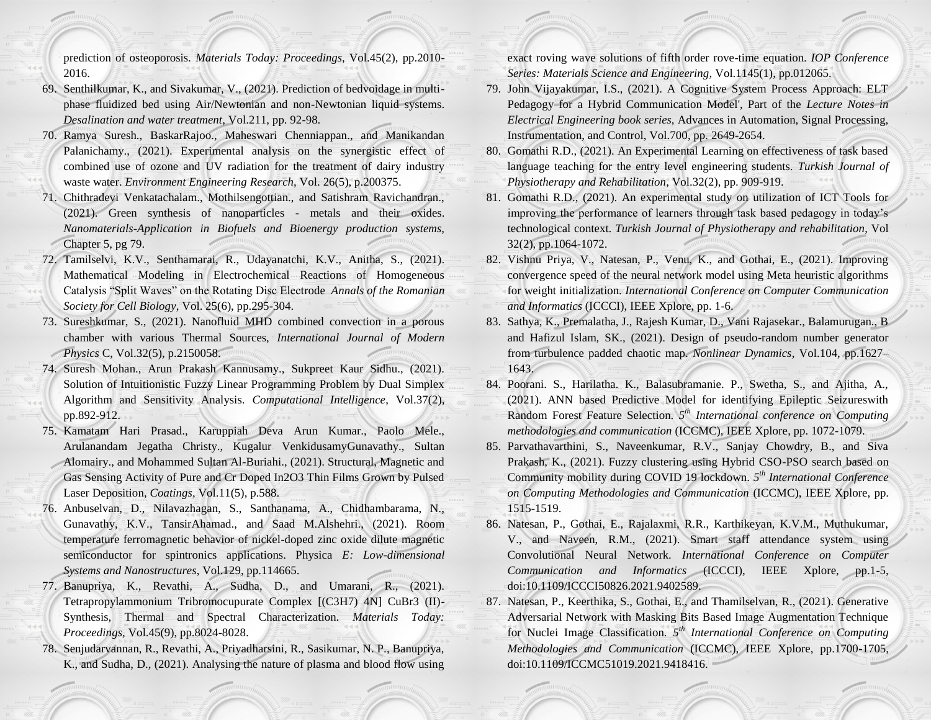prediction of osteoporosis. *Materials Today: Proceedings*, Vol.45(2), pp.2010- 2016.

- 69. Senthilkumar, K., and Sivakumar, V., (2021). Prediction of bedvoidage in multiphase fluidized bed using Air/Newtonian and non-Newtonian liquid systems. *Desalination and water treatment*, Vol.211, pp. 92-98.
- 70. Ramya Suresh., BaskarRajoo., Maheswari Chenniappan., and Manikandan Palanichamy., (2021). Experimental analysis on the synergistic effect of combined use of ozone and UV radiation for the treatment of dairy industry waste water. *Environment Engineering Research*, Vol. 26(5), p.200375.
- 71. Chithradevi Venkatachalam., Mothilsengottian., and Satishram Ravichandran., (2021). Green synthesis of nanoparticles - metals and their oxides. *Nanomaterials-Application in Biofuels and Bioenergy production systems,*  Chapter 5, pg 79.
- 72. Tamilselvi, K.V., Senthamarai, R., Udayanatchi, K.V., Anitha, S., (2021). Mathematical Modeling in Electrochemical Reactions of Homogeneous Catalysis "Split Waves" on the Rotating Disc Electrode *Annals of the Romanian Society for Cell Biology*, Vol. 25(6), pp.295-304.
- 73. Sureshkumar, S., (2021). Nanofluid MHD combined convection in a porous chamber with various Thermal Sources, *International Journal of Modern Physics* C, Vol.32(5), p.2150058.
- 74. Suresh Mohan., Arun Prakash Kannusamy., Sukpreet Kaur Sidhu., (2021). Solution of Intuitionistic Fuzzy Linear Programming Problem by Dual Simplex Algorithm and Sensitivity Analysis. *Computational Intelligence*, Vol.37(2), pp.892-912.
- 75. Kamatam Hari Prasad., Karuppiah Deva Arun Kumar., Paolo Mele., Arulanandam Jegatha Christy., Kugalur VenkidusamyGunavathy., Sultan Alomairy., and Mohammed Sultan Al-Buriahi., (2021). Structural, Magnetic and Gas Sensing Activity of Pure and Cr Doped In2O3 Thin Films Grown by Pulsed Laser Deposition*, Coatings*, Vol.11(5), p.588.
- 76. Anbuselvan, D., Nilavazhagan, S., Santhanama, A., Chidhambarama, N., Gunavathy, K.V., TansirAhamad., and Saad M.Alshehri., (2021). Room temperature ferromagnetic behavior of nickel-doped zinc oxide dilute magnetic semiconductor for spintronics applications. Physica *E: Low-dimensional Systems and Nanostructures*, Vol.129, pp.114665.
- 77. Banupriya, K., Revathi, A., Sudha, D., and Umarani, R., (2021). Tetrapropylammonium Tribromocupurate Complex [(C3H7) 4N] CuBr3 (II)- Synthesis, Thermal and Spectral Characterization. *Materials Today: Proceedings*, Vol.45(9), pp.8024-8028.
- 78. Senjudarvannan, R., Revathi, A., Priyadharsini, R., Sasikumar, N. P., Banupriya, K., and Sudha, D., (2021). Analysing the nature of plasma and blood flow using

exact roving wave solutions of fifth order rove-time equation. *IOP Conference Series: Materials Science and Engineering,* Vol.1145(1), pp.012065.

- 79. John Vijayakumar, I.S., (2021). A Cognitive System Process Approach: ELT Pedagogy for a Hybrid Communication Model', Part of the *Lecture Notes in Electrical Engineering book series*, Advances in Automation, Signal Processing, Instrumentation, and Control, Vol.700, pp. 2649-2654.
- 80. Gomathi R.D., (2021). An Experimental Learning on effectiveness of task based language teaching for the entry level engineering students. *Turkish Journal of Physiotherapy and Rehabilitation*, Vol.32(2), pp. 909-919.
- 81. Gomathi R.D., (2021). An experimental study on utilization of ICT Tools for improving the performance of learners through task based pedagogy in today's technological context. *Turkish Journal of Physiotherapy and rehabilitation*, Vol 32(2), pp.1064-1072.
- 82. Vishnu Priya, V., Natesan, P., Venu, K., and Gothai, E., (2021). Improving convergence speed of the neural network model using Meta heuristic algorithms for weight initialization. *International Conference on Computer Communication and Informatics* (ICCCI), IEEE Xplore, pp. 1-6.
- 83. Sathya, K., Premalatha, J., Rajesh Kumar, D., Vani Rajasekar., Balamurugan., B and Hafizul Islam, SK., (2021). Design of pseudo-random number generator from turbulence padded chaotic map. *Nonlinear Dynamics*, Vol.104, pp.1627– 1643.
- 84. Poorani. S., Harilatha. K., Balasubramanie. P., Swetha, S., and Ajitha, A., (2021). ANN based Predictive Model for identifying Epileptic Seizureswith Random Forest Feature Selection. *5 th International conference on Computing methodologies and communication* (ICCMC), IEEE Xplore, pp. 1072-1079.
- 85. Parvathavarthini, S., Naveenkumar, R.V., Sanjay Chowdry, B., and Siva Prakash, K., (2021). Fuzzy clustering using Hybrid CSO-PSO search based on Community mobility during COVID 19 lockdown. *5 th International Conference on Computing Methodologies and Communication* (ICCMC), IEEE Xplore, pp. 1515-1519.
- 86. Natesan, P., Gothai, E., Rajalaxmi, R.R., Karthikeyan, K.V.M., Muthukumar, V., and Naveen, R.M., (2021). Smart staff attendance system using Convolutional Neural Network. *International Conference on Computer Communication and Informatics* (ICCCI), IEEE Xplore, pp.1-5, doi:10.1109/ICCCI50826.2021.9402589.
- 87. Natesan, P., Keerthika, S., Gothai, E., and Thamilselvan, R., (2021). Generative Adversarial Network with Masking Bits Based Image Augmentation Technique for Nuclei Image Classification. *5 th International Conference on Computing Methodologies and Communication* (ICCMC), IEEE Xplore, pp.1700-1705, doi:10.1109/ICCMC51019.2021.9418416.